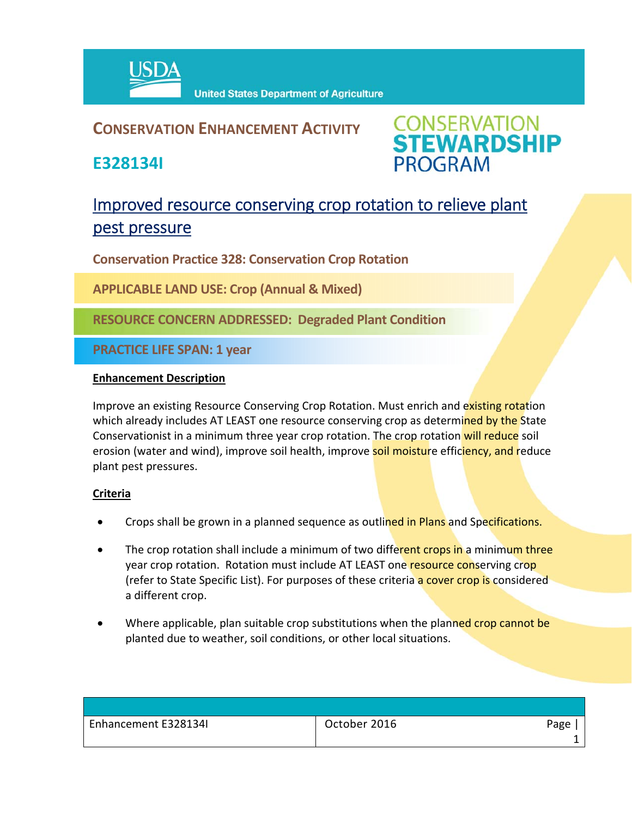

## **CONSERVATION ENHANCEMENT ACTIVITY**

**E328134I**

**CONSERVATION<br>STEWARDSHIP PROGRAM** 

# Improved resource conserving crop rotation to relieve plant pest pressure

**Conservation Practice 328: Conservation Crop Rotation**

**APPLICABLE LAND USE: Crop (Annual & Mixed)**

**RESOURCE CONCERN ADDRESSED: Degraded Plant Condition**

**PRACTICE LIFE SPAN: 1 year**

#### **Enhancement Description**

Improve an existing Resource Conserving Crop Rotation. Must enrich and existing rotation which already includes AT LEAST one resource conserving crop as determined by the State Conservationist in a minimum three year crop rotation. The crop rotation will reduce soil erosion (water and wind), improve soil health, improve soil moisture efficiency, and reduce plant pest pressures.

### **Criteria**

- Crops shall be grown in a planned sequence as outlined in Plans and Specifications.
- The crop rotation shall include a minimum of two different crops in a minimum three year crop rotation. Rotation must include AT LEAST one resource conserving crop (refer to State Specific List). For purposes of these criteria a cover crop is considered a different crop.
- Where applicable, plan suitable crop substitutions when the planned crop cannot be planted due to weather, soil conditions, or other local situations.

| Enhancement E328134I | October 2016 | Page |
|----------------------|--------------|------|
|                      |              |      |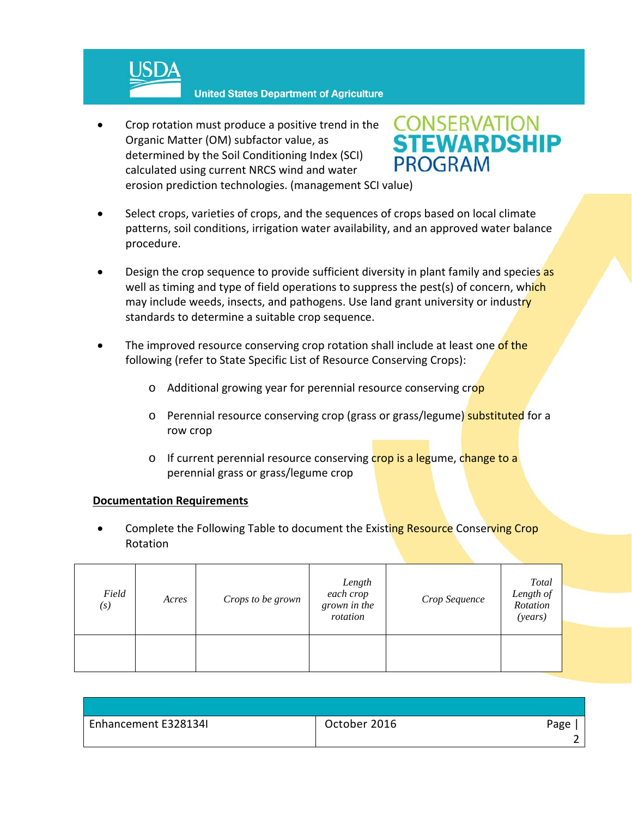

 Crop rotation must produce a positive trend in the Organic Matter (OM) subfactor value, as determined by the Soil Conditioning Index (SCI) calculated using current NRCS wind and water erosion prediction technologies. (management SCI value)



- Select crops, varieties of crops, and the sequences of crops based on local climate patterns, soil conditions, irrigation water availability, and an approved water balance procedure.
- Design the crop sequence to provide sufficient diversity in plant family and species as well as timing and type of field operations to suppress the pest(s) of concern, which may include weeds, insects, and pathogens. Use land grant university or industry standards to determine a suitable crop sequence.
- The improved resource conserving crop rotation shall include at least one of the following (refer to State Specific List of Resource Conserving Crops):
	- o Additional growing year for perennial resource conserving crop
	- o Perennial resource conserving crop (grass or grass/legume) substituted for a row crop
	- o If current perennial resource conserving crop is a legume, change to a perennial grass or grass/legume crop

#### **Documentation Requirements**

Complete the Following Table to document the Existing Resource Conserving Crop Rotation

| Field<br>$\left(s\right)$ | Acres | Crops to be grown | Length<br>each crop<br>grown in the<br>rotation | Crop Sequence | <b>Total</b><br>Length of<br>Rotation<br>(years) |
|---------------------------|-------|-------------------|-------------------------------------------------|---------------|--------------------------------------------------|
|                           |       |                   |                                                 |               |                                                  |

| Enhancement E328134I | October 2016 | Page |
|----------------------|--------------|------|
|                      |              |      |